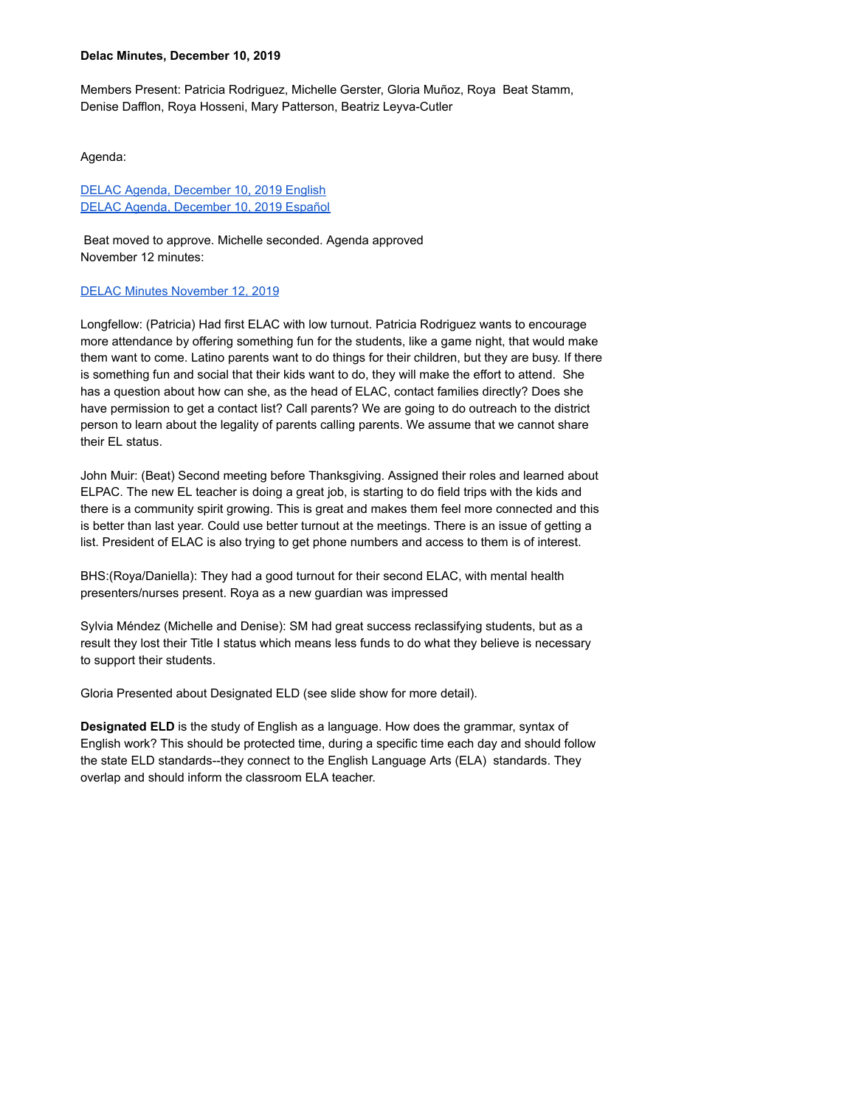## **Delac Minutes, December 10, 2019**

Members Present: Patricia Rodriguez, Michelle Gerster, Gloria Muñoz, Roya Beat Stamm, Denise Dafflon, Roya Hosseni, Mary Patterson, Beatriz Leyva-Cutler

Agenda:

DELAC Agenda, December 10, 2019 English DELAC Agenda, December 10, 2019 Español

Beat moved to approve. Michelle seconded. Agenda approved November 12 minutes:

## DELAC Minutes November 12, 2019

Longfellow: (Patricia) Had first ELAC with low turnout. Patricia Rodriguez wants to encourage more attendance by offering something fun for the students, like a game night, that would make them want to come. Latino parents want to do things for their children, but they are busy. If there is something fun and social that their kids want to do, they will make the effort to attend. She has a question about how can she, as the head of ELAC, contact families directly? Does she have permission to get a contact list? Call parents? We are going to do outreach to the district person to learn about the legality of parents calling parents. We assume that we cannot share their EL status.

John Muir: (Beat) Second meeting before Thanksgiving. Assigned their roles and learned about ELPAC. The new EL teacher is doing a great job, is starting to do field trips with the kids and there is a community spirit growing. This is great and makes them feel more connected and this is better than last year. Could use better turnout at the meetings. There is an issue of getting a list. President of ELAC is also trying to get phone numbers and access to them is of interest.

BHS:(Roya/Daniella): They had a good turnout for their second ELAC, with mental health presenters/nurses present. Roya as a new guardian was impressed

Sylvia Méndez (Michelle and Denise): SM had great success reclassifying students, but as a result they lost their Title I status which means less funds to do what they believe is necessary to support their students.

Gloria Presented about Designated ELD (see slide show for more detail).

**Designated ELD** is the study of English as a language. How does the grammar, syntax of English work? This should be protected time, during a specific time each day and should follow the state ELD standards--they connect to the English Language Arts (ELA) standards. They overlap and should inform the classroom ELA teacher.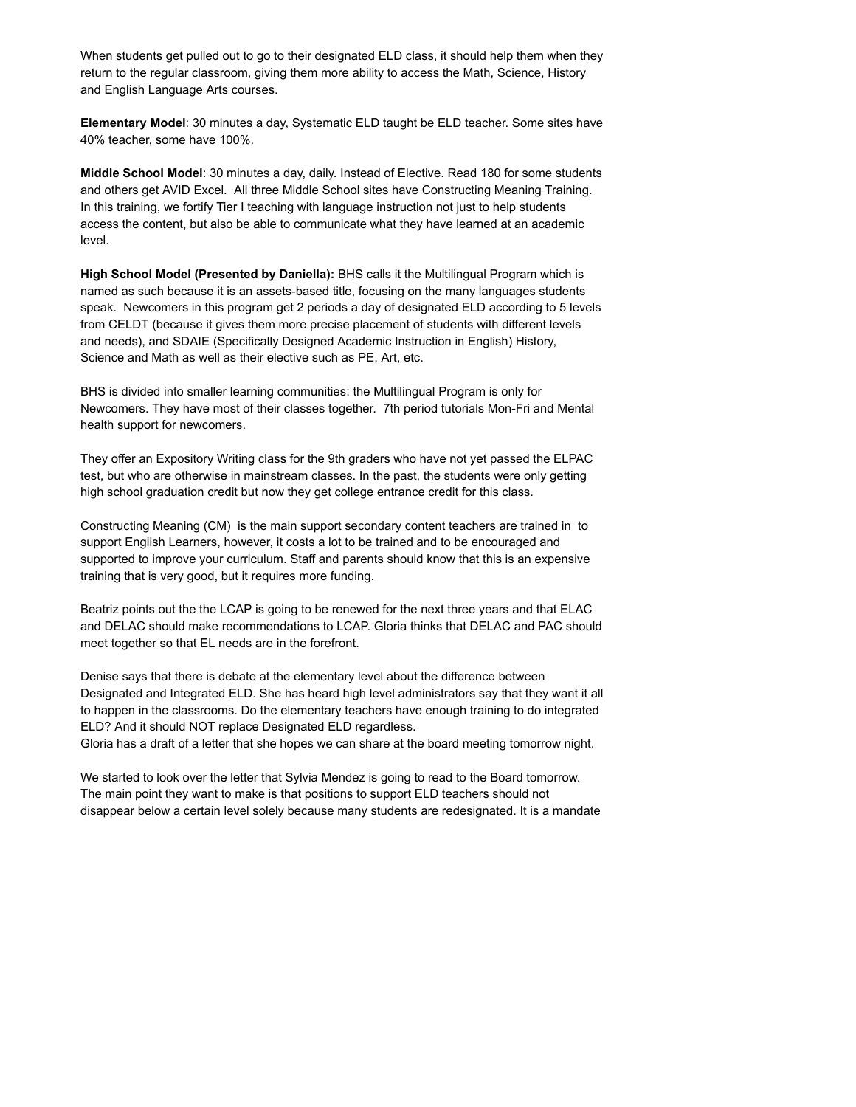When students get pulled out to go to their designated ELD class, it should help them when they return to the regular classroom, giving them more ability to access the Math, Science, History and English Language Arts courses.

**Elementary Model**: 30 minutes a day, Systematic ELD taught be ELD teacher. Some sites have 40% teacher, some have 100%.

**Middle School Model**: 30 minutes a day, daily. Instead of Elective. Read 180 for some students and others get AVID Excel. All three Middle School sites have Constructing Meaning Training. In this training, we fortify Tier I teaching with language instruction not just to help students access the content, but also be able to communicate what they have learned at an academic level.

**High School Model (Presented by Daniella):** BHS calls it the Multilingual Program which is named as such because it is an assets-based title, focusing on the many languages students speak. Newcomers in this program get 2 periods a day of designated ELD according to 5 levels from CELDT (because it gives them more precise placement of students with different levels and needs), and SDAIE (Specifically Designed Academic Instruction in English) History, Science and Math as well as their elective such as PE, Art, etc.

BHS is divided into smaller learning communities: the Multilingual Program is only for Newcomers. They have most of their classes together. 7th period tutorials Mon-Fri and Mental health support for newcomers.

They offer an Expository Writing class for the 9th graders who have not yet passed the ELPAC test, but who are otherwise in mainstream classes. In the past, the students were only getting high school graduation credit but now they get college entrance credit for this class.

Constructing Meaning (CM) is the main support secondary content teachers are trained in to support English Learners, however, it costs a lot to be trained and to be encouraged and supported to improve your curriculum. Staff and parents should know that this is an expensive training that is very good, but it requires more funding.

Beatriz points out the the LCAP is going to be renewed for the next three years and that ELAC and DELAC should make recommendations to LCAP. Gloria thinks that DELAC and PAC should meet together so that EL needs are in the forefront.

Denise says that there is debate at the elementary level about the difference between Designated and Integrated ELD. She has heard high level administrators say that they want it all to happen in the classrooms. Do the elementary teachers have enough training to do integrated ELD? And it should NOT replace Designated ELD regardless.

Gloria has a draft of a letter that she hopes we can share at the board meeting tomorrow night.

We started to look over the letter that Sylvia Mendez is going to read to the Board tomorrow. The main point they want to make is that positions to support ELD teachers should not disappear below a certain level solely because many students are redesignated. It is a mandate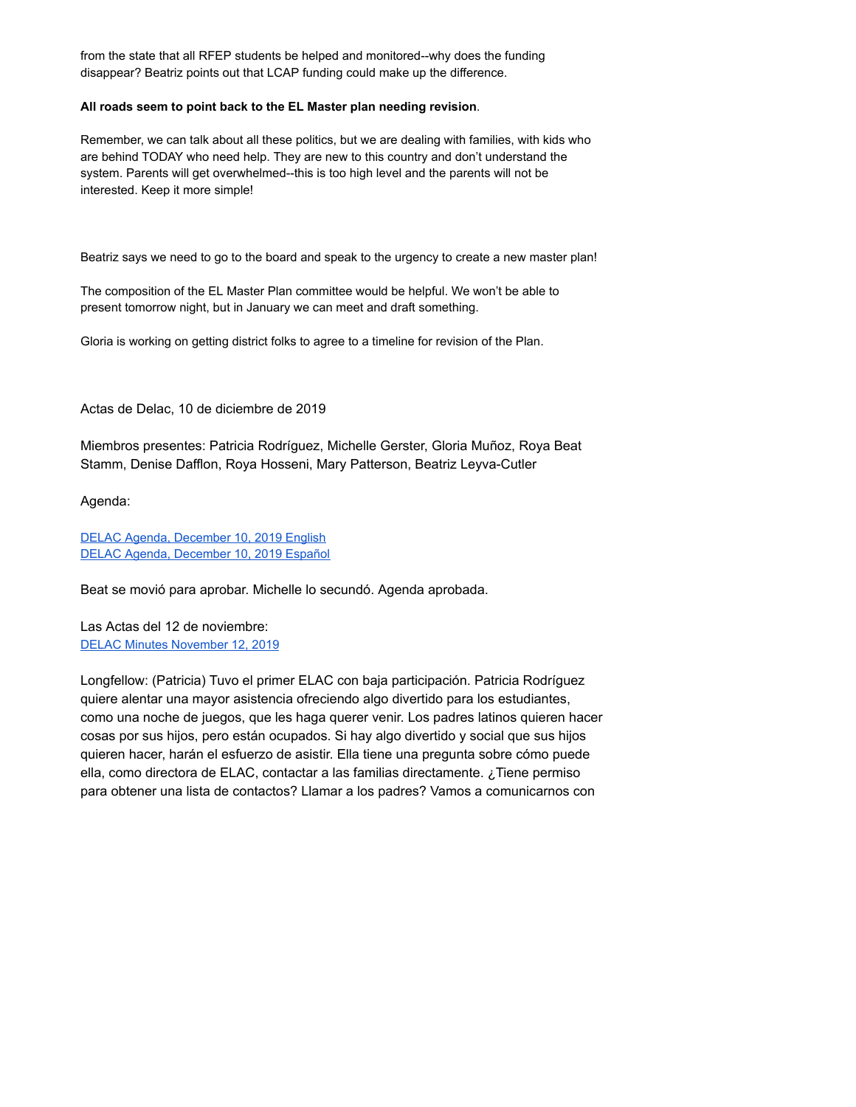from the state that all RFEP students be helped and monitored--why does the funding disappear? Beatriz points out that LCAP funding could make up the difference.

## **All roads seem to point back to the EL Master plan needing revision**.

Remember, we can talk about all these politics, but we are dealing with families, with kids who are behind TODAY who need help. They are new to this country and don't understand the system. Parents will get overwhelmed--this is too high level and the parents will not be interested. Keep it more simple!

Beatriz says we need to go to the board and speak to the urgency to create a new master plan!

The composition of the EL Master Plan committee would be helpful. We won't be able to present tomorrow night, but in January we can meet and draft something.

Gloria is working on getting district folks to agree to a timeline for revision of the Plan.

Actas de Delac, 10 de diciembre de 2019

Miembros presentes: Patricia Rodríguez, Michelle Gerster, Gloria Muñoz, Roya Beat Stamm, Denise Dafflon, Roya Hosseni, Mary Patterson, Beatriz Leyva-Cutler

Agenda:

DELAC Agenda, December 10, 2019 English DELAC Agenda, December 10, 2019 Español

Beat se movió para aprobar. Michelle lo secundó. Agenda aprobada.

Las Actas del 12 de noviembre: DELAC Minutes November 12, 2019

Longfellow: (Patricia) Tuvo el primer ELAC con baja participación. Patricia Rodríguez quiere alentar una mayor asistencia ofreciendo algo divertido para los estudiantes, como una noche de juegos, que les haga querer venir. Los padres latinos quieren hacer cosas por sus hijos, pero están ocupados. Si hay algo divertido y social que sus hijos quieren hacer, harán el esfuerzo de asistir. Ella tiene una pregunta sobre cómo puede ella, como directora de ELAC, contactar a las familias directamente. ¿Tiene permiso para obtener una lista de contactos? Llamar a los padres? Vamos a comunicarnos con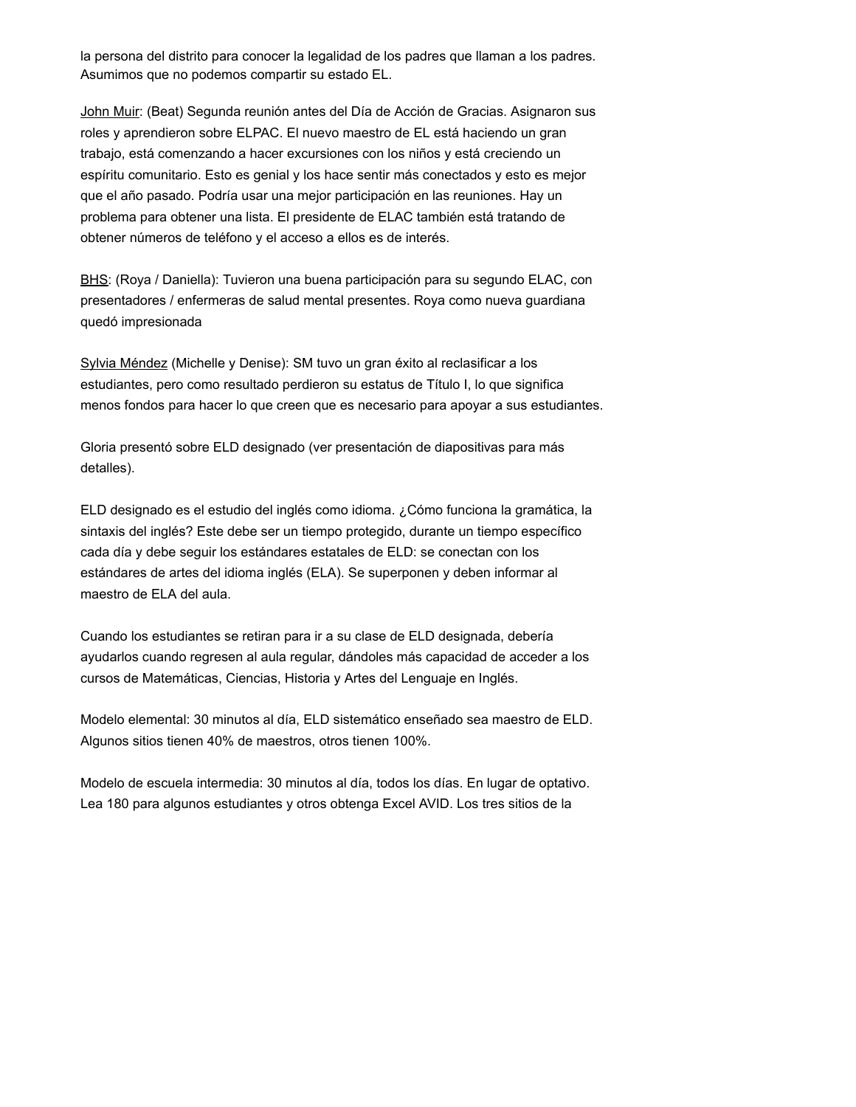la persona del distrito para conocer la legalidad de los padres que llaman a los padres. Asumimos que no podemos compartir su estado EL.

John Muir: (Beat) Segunda reunión antes del Día de Acción de Gracias. Asignaron sus roles y aprendieron sobre ELPAC. El nuevo maestro de EL está haciendo un gran trabajo, está comenzando a hacer excursiones con los niños y está creciendo un espíritu comunitario. Esto es genial y los hace sentir más conectados y esto es mejor que el año pasado. Podría usar una mejor participación en las reuniones. Hay un problema para obtener una lista. El presidente de ELAC también está tratando de obtener números de teléfono y el acceso a ellos es de interés.

BHS : (Roya / Daniella): Tuvieron una buena participación para su segundo ELAC, con presentadores / enfermeras de salud mental presentes. Roya como nueva guardiana quedó impresionada

Sylvia Méndez (Michelle y Denise): SM tuvo un gran éxito al reclasificar a los estudiantes, pero como resultado perdieron su estatus de Título I, lo que significa menos fondos para hacer lo que creen que es necesario para apoyar a sus estudiantes.

Gloria presentó sobre ELD designado (ver presentación de diapositivas para más detalles).

ELD designado es el estudio del inglés como idioma. ¿Cómo funciona la gramática, la sintaxis del inglés? Este debe ser un tiempo protegido, durante un tiempo específico cada día y debe seguir los estándares estatales de ELD: se conectan con los estándares de artes del idioma inglés (ELA). Se superponen y deben informar al maestro de ELA del aula.

Cuando los estudiantes se retiran para ir a su clase de ELD designada, debería ayudarlos cuando regresen al aula regular, dándoles más capacidad de acceder a los cursos de Matemáticas, Ciencias, Historia y Artes del Lenguaje en Inglés.

Modelo elemental: 30 minutos al día, ELD sistemático enseñado sea maestro de ELD. Algunos sitios tienen 40% de maestros, otros tienen 100%.

Modelo de escuela intermedia: 30 minutos al día, todos los días. En lugar de optativo. Lea 180 para algunos estudiantes y otros obtenga Excel AVID. Los tres sitios de la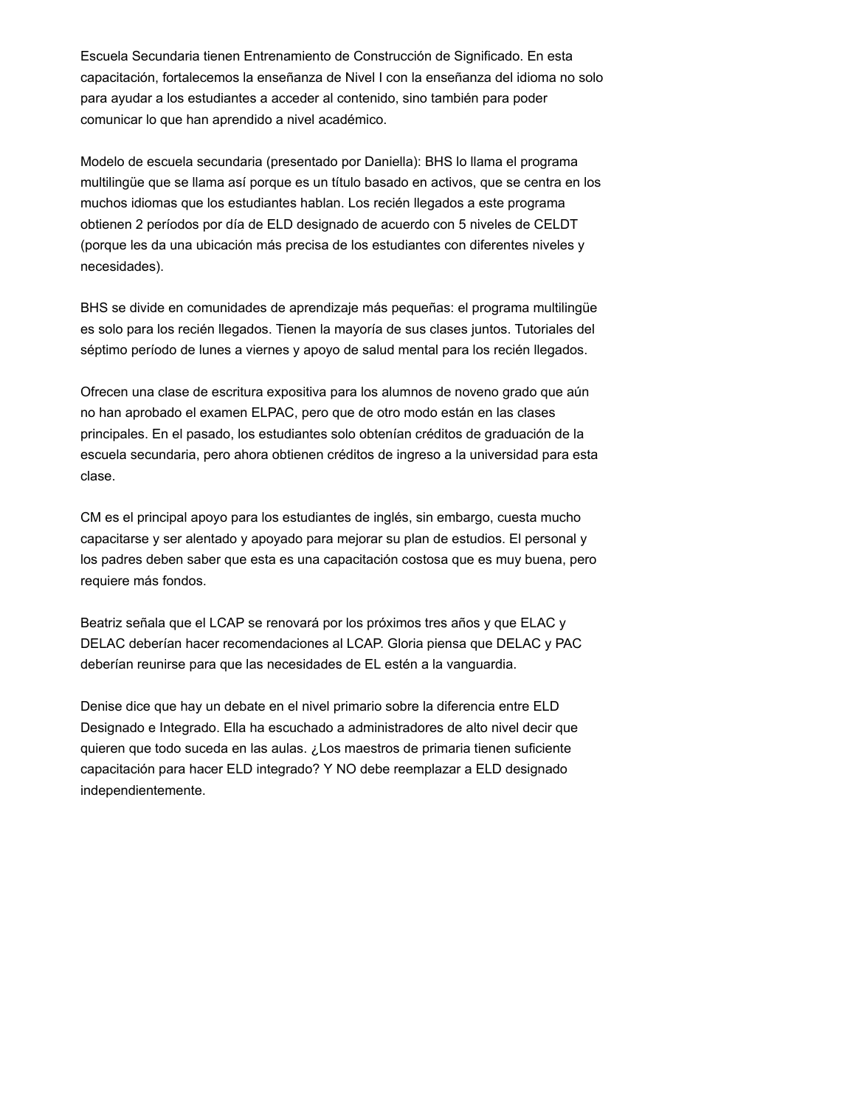Escuela Secundaria tienen Entrenamiento de Construcción de Significado. En esta capacitación, fortalecemos la enseñanza de Nivel I con la enseñanza del idioma no solo para ayudar a los estudiantes a acceder al contenido, sino también para poder comunicar lo que han aprendido a nivel académico.

Modelo de escuela secundaria (presentado por Daniella): BHS lo llama el programa multilingüe que se llama así porque es un título basado en activos, que se centra en los muchos idiomas que los estudiantes hablan. Los recién llegados a este programa obtienen 2 períodos por día de ELD designado de acuerdo con 5 niveles de CELDT (porque les da una ubicación más precisa de los estudiantes con diferentes niveles y necesidades).

BHS se divide en comunidades de aprendizaje más pequeñas: el programa multilingüe es solo para los recién llegados. Tienen la mayoría de sus clases juntos. Tutoriales del séptimo período de lunes a viernes y apoyo de salud mental para los recién llegados.

Ofrecen una clase de escritura expositiva para los alumnos de noveno grado que aún no han aprobado el examen ELPAC, pero que de otro modo están en las clases principales. En el pasado, los estudiantes solo obtenían créditos de graduación de la escuela secundaria, pero ahora obtienen créditos de ingreso a la universidad para esta clase.

CM es el principal apoyo para los estudiantes de inglés, sin embargo, cuesta mucho capacitarse y ser alentado y apoyado para mejorar su plan de estudios. El personal y los padres deben saber que esta es una capacitación costosa que es muy buena, pero requiere más fondos.

Beatriz señala que el LCAP se renovará por los próximos tres años y que ELAC y DELAC deberían hacer recomendaciones al LCAP. Gloria piensa que DELAC y PAC deberían reunirse para que las necesidades de EL estén a la vanguardia.

Denise dice que hay un debate en el nivel primario sobre la diferencia entre ELD Designado e Integrado. Ella ha escuchado a administradores de alto nivel decir que quieren que todo suceda en las aulas. ¿Los maestros de primaria tienen suficiente capacitación para hacer ELD integrado? Y NO debe reemplazar a ELD designado independientemente.